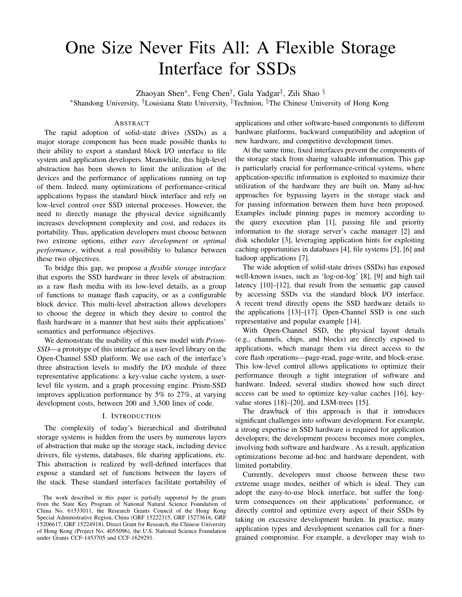# One Size Never Fits All: A Flexible Storage Interface for SSDs

Zhaoyan Shen<sup>∗</sup> , Feng Chen† , Gala Yadgar‡ , Zili Shao §

<sup>∗</sup>Shandong University, †Louisiana State University, ‡Technion, §The Chinese University of Hong Kong

## ABSTRACT

The rapid adoption of solid-state drives (SSDs) as a major storage component has been made possible thanks to their ability to export a standard block I/O interface to file system and application developers. Meanwhile, this high-level abstraction has been shown to limit the utilization of the devices and the performance of applications running on top of them. Indeed, many optimizations of performance-critical applications bypass the standard block interface and rely on low-level control over SSD internal processes. However, the need to directly manage the physical device significantly increases development complexity and cost, and reduces its portability. Thus, application developers must choose between two extreme options, either *easy development* or *optimal performance*, without a real possibility to balance between these two objectives.

To bridge this gap, we propose a *flexible storage interface* that exports the SSD hardware in three levels of abstraction: as a raw flash media with its low-level details, as a group of functions to manage flash capacity, or as a configurable block device. This multi-level abstraction allows developers to choose the degree in which they desire to control the flash hardware in a manner that best suits their applications' semantics and performance objectives.

We demonstrate the usability of this new model with *Prism-SSD*—a prototype of this interface as a user-level library on the Open-Channel SSD platform. We use each of the interface's three abstraction levels to modify the I/O module of three representative applications: a key-value cache system, a userlevel file system, and a graph processing engine. Prism-SSD improves application performance by 5% to 27%, at varying development costs, between 200 and 3,500 lines of code.

#### I. INTRODUCTION

The complexity of today's hierarchical and distributed storage systems is hidden from the users by numerous layers of abstraction that make up the storage stack, including device drivers, file systems, databases, file sharing applications, etc. This abstraction is realized by well-defined interfaces that expose a standard set of functions between the layers of the stack. These standard interfaces facilitate portability of

applications and other software-based components to different hardware platforms, backward compatibility and adoption of new hardware, and competitive development times.

At the same time, fixed interfaces prevent the components of the storage stack from sharing valuable information. This gap is particularly crucial for performance-critical systems, where application-specific information is exploited to maximize their utilization of the hardware they are built on. Many ad-hoc approaches for bypassing layers in the storage stack and for passing information between them have been proposed. Examples include pinning pages in memory according to the query execution plan [1], passing file and priority information to the storage server's cache manager [2] and disk scheduler [3], leveraging application hints for exploiting caching opportunities in databases [4], file systems [5], [6] and hadoop applications [7].

The wide adoption of solid-state drives (SSDs) has exposed well-known issues, such as 'log-on-log' [8], [9] and high tail latency [10]–[12], that result from the semantic gap caused by accessing SSDs via the standard block I/O interface. A recent trend directly opens the SSD hardware details to the applications [13]–[17]. Open-Channel SSD is one such representative and popular example [14].

With Open-Channel SSD, the physical layout details (e.g., channels, chips, and blocks) are directly exposed to applications, which manage them via direct access to the core flash operations—page-read, page-write, and block-erase. This low-level control allows applications to optimize their performance through a tight integration of software and hardware. Indeed, several studies showed how such direct access can be used to optimize key-value caches [16], keyvalue stores [18]–[20], and LSM-trees [15].

The drawback of this approach is that it introduces significant challenges into software development. For example, a strong expertise in SSD hardware is required for application developers; the development process becomes more complex, involving both software and hardware . As a result, application optimizations become ad-hoc and hardware dependent, with limited portability.

Currently, developers must choose between these two extreme usage modes, neither of which is ideal. They can adopt the easy-to-use block interface, but suffer the longterm consequences on their applications' performance, or directly control and optimize every aspect of their SSDs by taking on excessive development burden. In practice, many application types and development scenarios call for a finergrained compromise. For example, a developer may wish to

The work described in this paper is partially supported by the grants from the State Key Program of National Natural Science Foundation of China No. 61533011, the Research Grants Council of the Hong Kong Special Administrative Region, China (GRF 15222315, GRF 15273616, GRF 15206617, GRF 15224918), Direct Grant for Research, the Chinese University of Hong Kong (Project No. 4055096), the U.S. National Science Foundation under Grants CCF-1453705 and CCF-1629291.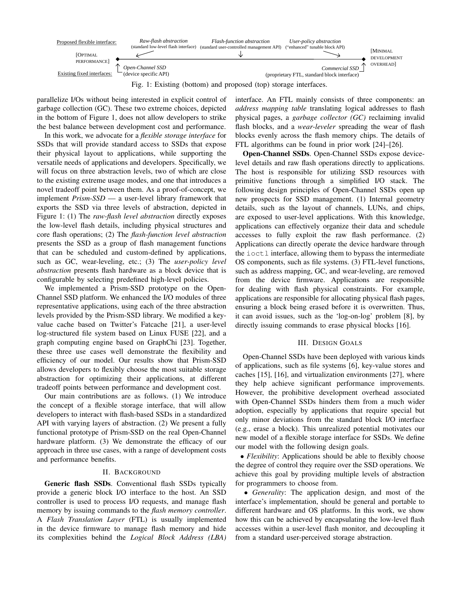

Fig. 1: Existing (bottom) and proposed (top) storage interfaces.

parallelize I/Os without being interested in explicit control of garbage collection (GC). These two extreme choices, depicted in the bottom of Figure 1, does not allow developers to strike the best balance between development cost and performance.

In this work, we advocate for a *flexible storage interface* for SSDs that will provide standard access to SSDs that expose their physical layout to applications, while supporting the versatile needs of applications and developers. Specifically, we will focus on three abstraction levels, two of which are close to the existing extreme usage modes, and one that introduces a novel tradeoff point between them. As a proof-of-concept, we implement *Prism-SSD* — a user-level library framework that exports the SSD via three levels of abstraction, depicted in Figure 1: (1) The *raw-flash level abstraction* directly exposes the low-level flash details, including physical structures and core flash operations; (2) The *flash-function level abstraction* presents the SSD as a group of flash management functions that can be scheduled and custom-defined by applications, such as GC, wear-leveling, etc.; (3) The *user-policy level abstraction* presents flash hardware as a block device that is configurable by selecting predefined high-level policies.

We implemented a Prism-SSD prototype on the Open-Channel SSD platform. We enhanced the I/O modules of three representative applications, using each of the three abstraction levels provided by the Prism-SSD library. We modified a keyvalue cache based on Twitter's Fatcache [21], a user-level log-structured file system based on Linux FUSE [22], and a graph computing engine based on GraphChi [23]. Together, these three use cases well demonstrate the flexibility and efficiency of our model. Our results show that Prism-SSD allows developers to flexibly choose the most suitable storage abstraction for optimizing their applications, at different tradeoff points between performance and development cost.

Our main contributions are as follows. (1) We introduce the concept of a flexible storage interface, that will allow developers to interact with flash-based SSDs in a standardized API with varying layers of abstraction. (2) We present a fully functional prototype of Prism-SSD on the real Open-Channel hardware platform. (3) We demonstrate the efficacy of our approach in three use cases, with a range of development costs and performance benefits.

#### II. BACKGROUND

Generic flash SSDs. Conventional flash SSDs typically provide a generic block I/O interface to the host. An SSD controller is used to process I/O requests, and manage flash memory by issuing commands to the *flash memory controller*. A *Flash Translation Layer* (FTL) is usually implemented in the device firmware to manage flash memory and hide its complexities behind the *Logical Block Address (LBA)* interface. An FTL mainly consists of three components: an *address mapping table* translating logical addresses to flash physical pages, a *garbage collector (GC)* reclaiming invalid flash blocks, and a *wear-leveler* spreading the wear of flash blocks evenly across the flash memory chips. The details of FTL algorithms can be found in prior work [24]–[26].

Open-Channel SSDs. Open-Channel SSDs expose devicelevel details and raw flash operations directly to applications. The host is responsible for utilizing SSD resources with primitive functions through a simplified I/O stack. The following design principles of Open-Channel SSDs open up new prospects for SSD management. (1) Internal geometry details, such as the layout of channels, LUNs, and chips, are exposed to user-level applications. With this knowledge, applications can effectively organize their data and schedule accesses to fully exploit the raw flash performance. (2) Applications can directly operate the device hardware through the ioctl interface, allowing them to bypass the intermediate OS components, such as file systems. (3) FTL-level functions, such as address mapping, GC, and wear-leveling, are removed from the device firmware. Applications are responsible for dealing with flash physical constraints. For example, applications are responsible for allocating physical flash pages, ensuring a block being erased before it is overwritten. Thus, it can avoid issues, such as the 'log-on-log' problem [8], by directly issuing commands to erase physical blocks [16].

#### III. DESIGN GOALS

Open-Channel SSDs have been deployed with various kinds of applications, such as file systems [6], key-value stores and caches [15], [16], and virtualization environments [27], where they help achieve significant performance improvements. However, the prohibitive development overhead associated with Open-Channel SSDs hinders them from a much wider adoption, especially by applications that require special but only minor deviations from the standard block I/O interface (e.g., erase a block). This unrealized potential motivates our new model of a flexible storage interface for SSDs. We define our model with the following design goals.

• *Flexibility*: Applications should be able to flexibly choose the degree of control they require over the SSD operations. We achieve this goal by providing multiple levels of abstraction for programmers to choose from.

• *Generality*: The application design, and most of the interface's implementation, should be general and portable to different hardware and OS platforms. In this work, we show how this can be achieved by encapsulating the low-level flash accesses within a user-level flash monitor, and decoupling it from a standard user-perceived storage abstraction.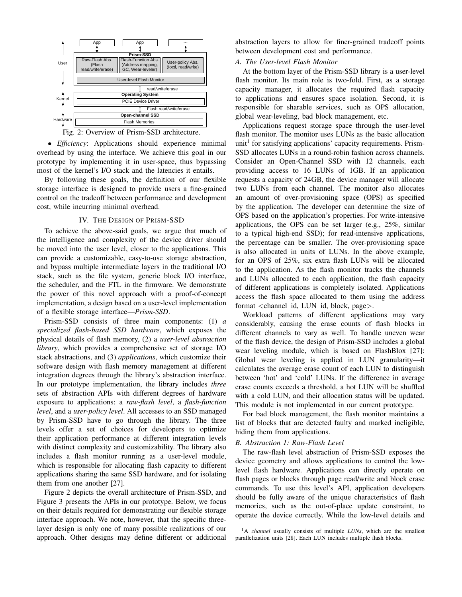

• *Efficiency*: Applications should experience minimal overhead by using the interface. We achieve this goal in our prototype by implementing it in user-space, thus bypassing most of the kernel's I/O stack and the latencies it entails.

By following these goals, the definition of our flexible storage interface is designed to provide users a fine-grained control on the tradeoff between performance and development cost, while incurring minimal overhead.

#### IV. THE DESIGN OF PRISM-SSD

To achieve the above-said goals, we argue that much of the intelligence and complexity of the device driver should be moved into the user level, closer to the applications. This can provide a customizable, easy-to-use storage abstraction, and bypass multiple intermediate layers in the traditional I/O stack, such as the file system, generic block I/O interface, the scheduler, and the FTL in the firmware. We demonstrate the power of this novel approach with a proof-of-concept implementation, a design based on a user-level implementation of a flexible storage interface—*Prism-SSD*.

Prism-SSD consists of three main components: (1) *a specialized flash-based SSD hardware*, which exposes the physical details of flash memory, (2) a *user-level abstraction library*, which provides a comprehensive set of storage I/O stack abstractions, and (3) *applications*, which customize their software design with flash memory management at different integration degrees through the library's abstraction interface. In our prototype implementation, the library includes *three* sets of abstraction APIs with different degrees of hardware exposure to applications: a *raw-flash level*, a *flash-function level*, and a *user-policy level*. All accesses to an SSD managed by Prism-SSD have to go through the library. The three levels offer a set of choices for developers to optimize their application performance at different integration levels with distinct complexity and customizability. The library also includes a flash monitor running as a user-level module, which is responsible for allocating flash capacity to different applications sharing the same SSD hardware, and for isolating them from one another [27].

Figure 2 depicts the overall architecture of Prism-SSD, and Figure 3 presents the APIs in our prototype. Below, we focus on their details required for demonstrating our flexible storage interface approach. We note, however, that the specific threelayer design is only one of many possible realizations of our approach. Other designs may define different or additional

abstraction layers to allow for finer-grained tradeoff points between development cost and performance.

## *A. The User-level Flash Monitor*

At the bottom layer of the Prism-SSD library is a user-level flash monitor. Its main role is two-fold. First, as a storage capacity manager, it allocates the required flash capacity to applications and ensures space isolation. Second, it is responsible for sharable services, such as OPS allocation, global wear-leveling, bad block management, etc.

to the application. As the flash monitor tracks the channels<br>and HINe ellocated to seek emplication, the flash equacity for an OPS of 25%, six extra flash LUNs will be allocated <sup>2</sup>, and LUNs allocated to each application, the flash capacity Ed two LUNs from each channel. The monitor also allocates ent an amount of over-provisioning space (OPS) as specified Applications request storage space through the user-level flash monitor. The monitor uses LUNs as the basic allocation unit<sup>1</sup> for satisfying applications' capacity requirements. Prism-SSD allocates LUNs in a round-robin fashion across channels. Consider an Open-Channel SSD with 12 channels, each providing access to 16 LUNs of 1GB. If an application requests a capacity of 24GB, the device manager will allocate by the application. The developer can determine the size of OPS based on the application's properties. For write-intensive applications, the OPS can be set larger (e.g., 25%, similar to a typical high-end SSD); for read-intensive applications, the percentage can be smaller. The over-provisioning space is also allocated in units of LUNs. In the above example, of different applications is completely isolated. Applications access the flash space allocated to them using the address format <channel\_id, LUN\_id, block, page>.

Workload patterns of different applications may vary considerably, causing the erase counts of flash blocks in different channels to vary as well. To handle uneven wear of the flash device, the design of Prism-SSD includes a global wear leveling module, which is based on FlashBlox [27]: Global wear leveling is applied in LUN granularity—it calculates the average erase count of each LUN to distinguish between 'hot' and 'cold' LUNs. If the difference in average erase counts exceeds a threshold, a hot LUN will be shuffled with a cold LUN, and their allocation status will be updated. This module is not implemented in our current prototype.

For bad block management, the flash monitor maintains a list of blocks that are detected faulty and marked ineligible, hiding them from applications.

#### *B. Abstraction 1: Raw-Flash Level*

The raw-flash level abstraction of Prism-SSD exposes the device geometry and allows applications to control the lowlevel flash hardware. Applications can directly operate on flash pages or blocks through page read/write and block erase commands. To use this level's API, application developers should be fully aware of the unique characteristics of flash memories, such as the out-of-place update constraint, to operate the device correctly. While the low-level details and

<sup>&</sup>lt;sup>1</sup>A *channel* usually consists of multiple *LUNs*, which are the smallest parallelization units [28]. Each LUN includes multiple flash blocks.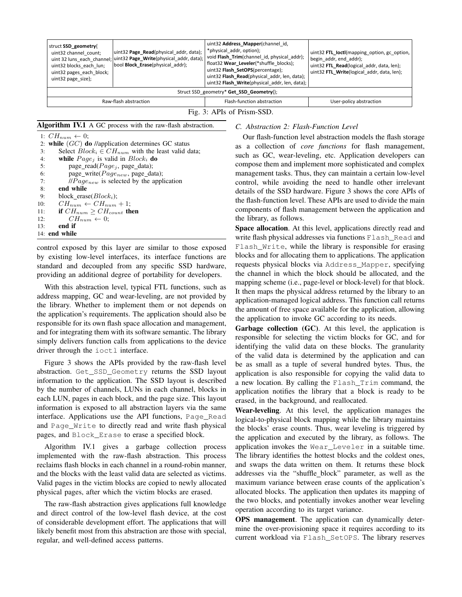| struct SSD geometry{<br>uint32 channel count;<br>uint32 blocks each lun;<br>uint32 pages each block;<br>uint 32 page size}; | uint32 Page_Read(physical addr, data);<br>uint 32 luns_each_channel; uint32 Page_Write(physical_addr, data);<br>bool Block Erase(physical addr); | uint32 Address_Mapper(channel id,<br>*physical addr, option);<br>void Flash_Trim(channel id, physical addr);<br>float32 Wear_Leveler(*shuffle_blocks);<br>uint32 Flash_SetOPS(percentage);<br>uint32 Flash Read(physical addr, len, data);<br>uint32 Flash Write(physical addr, len, data); | uint32 FTL_loctl(mapping option, gc option,<br>begin addr, end addr);<br>uint32 FTL Read(logical addr, data, len);<br>uint32 FTL_Write(logical addr, data, len); |  |
|-----------------------------------------------------------------------------------------------------------------------------|--------------------------------------------------------------------------------------------------------------------------------------------------|---------------------------------------------------------------------------------------------------------------------------------------------------------------------------------------------------------------------------------------------------------------------------------------------|------------------------------------------------------------------------------------------------------------------------------------------------------------------|--|
| Struct SSD geometry* Get SSD Geometry();                                                                                    |                                                                                                                                                  |                                                                                                                                                                                                                                                                                             |                                                                                                                                                                  |  |
| Raw-flash abstraction                                                                                                       |                                                                                                                                                  | Flash-function abstraction                                                                                                                                                                                                                                                                  | User-policy abstraction                                                                                                                                          |  |
| Fig. 3: APIs of Prism-SSD.                                                                                                  |                                                                                                                                                  |                                                                                                                                                                                                                                                                                             |                                                                                                                                                                  |  |

Algorithm IV.1 A GC process with the raw-flash abstraction.

1:  $CH_{num} \leftarrow 0;$ 

|     | 2: while $(GC)$ do //application determines GC status          |
|-----|----------------------------------------------------------------|
| 3:  | Select $Block_i \in CH_{num}$ with the least valid data;       |
| 4:  | while $Page_j$ is valid in $Block_i$ do                        |
| 5:  | page_read( $Page_j$ , page_data);                              |
| 6:  | page_write( $Page_{new}$ , page_data);                         |
| 7:  | $\mu$ <i>Page<sub>new</sub></i> is selected by the application |
| 8:  | end while                                                      |
| 9:  | block erase( $Block_i$ );                                      |
| 10: | $CH_{num} \leftarrow CH_{num} + 1$ ;                           |
| 11: | if $CH_{num} > CH_{count}$ then                                |
| 12: | $CH_{num} \leftarrow 0$ :                                      |
| 13: | end if                                                         |
|     | 14: end while                                                  |

uint32 channel\_count; control exposed by this layer are similar to those exposed  $F^{\perp}$ existing low-leve standard and decoupled from any specific SSD hardware, requests ph trol exposed by this layer are similar to the existing low-level interfaces, its interface fuldard and decoupled from any specific SSL by existing low-level interfaces, its interface functions are blocks and for all providing an additional degree of portability for developers.

address mapping, GC and wear-leveling, are not provided by annivation rate the library. Whether to implement them or not depends on application-managed logical address. This function the<br>the empirical first application of the empirical first application of the empirical first application of the e With this abstraction level, typical FTL functions, such as the application's requirements. The application should also be responsible for its own flash space allocation and management, and for integrating them with its software semantic. The library simply delivers function calls from applications to the device driver through the ioctl interface.

Figure 3 shows the APIs provided by the raw-flash level abstraction. Get\_SSD\_Geometry returns the SSD layout information to the application. The SSD layout is described by the number of channels, LUNs in each channel, blocks in each LUN, pages in each block, and the page size. This layout information is exposed to all abstraction layers via the same interface. Applications use the API functions, Page\_Read and Page Write to directly read and write flash physical pages, and Block\_Erase to erase a specified block.

Algorithm IV.1 gives a garbage collection process implemented with the raw-flash abstraction. This process reclaims flash blocks in each channel in a round-robin manner, and the blocks with the least valid data are selected as victims. Valid pages in the victim blocks are copied to newly allocated physical pages, after which the victim blocks are erased.

The raw-flash abstraction gives applications full knowledge and direct control of the low-level flash device, at the cost of considerable development effort. The applications that will likely benefit most from this abstraction are those with special, regular, and well-defined access patterns.

*C. Abstraction 2: Flash-Function Level*

Our flash-function level abstraction models the flash storage as a collection of *core functions* for flash management, such as GC, wear-leveling, etc. Application developers can compose them and implement more sophisticated and complex management tasks. Thus, they can maintain a certain low-level control, while avoiding the need to handle other irrelevant details of the SSD hardware. Figure 3 shows the core APIs of the flash-function level. These APIs are used to divide the main components of flash management between the application and the library, as follows.

layer are similar to those exposed Flash\_Write, while the library is responsible for erasing<br>terfaces, its interface functions are blocks and for allocating them to applications. The application requests physical blocks via Address\_Mapper, specifying uint<sub>32</sub> Get<sub>a</sub> **Addresses** via functions Flash\_Read and evelopers, the channel in which the block should be allocated, and the uint32 **Flash\_Read**(physical\_addr, len, data); mapping scheme (i.e., page-level or block-level) for that block. Space allocation. At this level, applications directly read and Flash Write, while the library is responsible for erasing It then maps the physical address returned by the library to an application-managed logical address. This function call returns the amount of free space available for the application, allowing the application to invoke GC according to its needs.

> Garbage collection (GC). At this level, the application is responsible for selecting the victim blocks for GC, and for identifying the valid data on these blocks. The granularity of the valid data is determined by the application and can be as small as a tuple of several hundred bytes. Thus, the application is also responsible for copying the valid data to a new location. By calling the Flash\_Trim command, the application notifies the library that a block is ready to be erased, in the background, and reallocated.

> Wear-leveling. At this level, the application manages the logical-to-physical block mapping while the library maintains the blocks' erase counts. Thus, wear leveling is triggered by the application and executed by the library, as follows. The application invokes the Wear\_Leveler in a suitable time. The library identifies the hottest blocks and the coldest ones, and swaps the data written on them. It returns these block addresses via the "shuffle block" parameter, as well as the maximum variance between erase counts of the application's allocated blocks. The application then updates its mapping of the two blocks, and potentially invokes another wear leveling operation according to its target variance.

> OPS management. The application can dynamically determine the over-provisioning space it requires according to its current workload via Flash\_SetOPS. The library reserves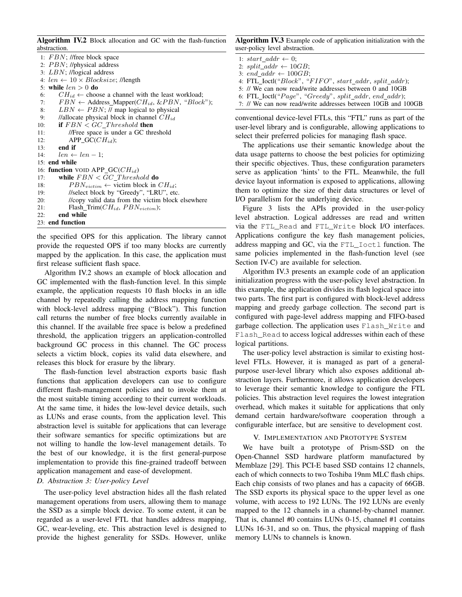Algorithm IV.2 Block allocation and GC with the flash-function abstraction.

```
1: FBN; //free block space
 2: PBN; //physical address
 3: LBN; //logical address
 4: len \leftarrow 10 \times Blocksize; //length
 5: while len > 0 do
 6: CH_{id} \leftarrow choose a channel with the least workload;
 7: FBN \leftarrow Address_Mapper(CH_{id}, &PBN, "Block");
 8: LBN \leftarrow PBN; // map logical to physical
 9: //allocate physical block in channel CH_{id}10: if FBN < GC\_Threshold then
11: //Free space is under a GC threshold<br>12: APP G(C(H))APP_GC(CH_{id});13: end if
14: len \leftarrow len - 1;15: end while
16: function VOID APP_GC(CH_{id})17: while FBN < GC\_Threshold do
18: PBN_{victim} \leftarrow victim block in CH_{id};
19: //select block by "Greedy", "LRU", etc.
20: //copy valid data from the victim block elsewhere
21: Flash_Trim(CH_{id}, PBN_{victim});<br>22: end while
       end while
23: end function
```
the specified OPS for this application. The library cannot provide the requested OPS if too many blocks are currently mapped by the application. In this case, the application must first release sufficient flash space.

Algorithm IV.2 shows an example of block allocation and GC implemented with the flash-function level. In this simple example, the application requests 10 flash blocks in an idle channel by repeatedly calling the address mapping function with block-level address mapping ("Block"). This function call returns the number of free blocks currently available in this channel. If the available free space is below a predefined threshold, the application triggers an application-controlled background GC process in this channel. The GC process selects a victim block, copies its valid data elsewhere, and releases this block for erasure by the library.

The flash-function level abstraction exports basic flash functions that application developers can use to configure different flash-management policies and to invoke them at the most suitable timing according to their current workloads. At the same time, it hides the low-level device details, such as LUNs and erase counts, from the application level. This abstraction level is suitable for applications that can leverage their software semantics for specific optimizations but are not willing to handle the low-level management details. To the best of our knowledge, it is the first general-purpose implementation to provide this fine-grained tradeoff between application management and ease-of development.

#### *D. Abstraction 3: User-policy Level*

The user-policy level abstraction hides all the flash related management operations from users, allowing them to manage the SSD as a simple block device. To some extent, it can be regarded as a user-level FTL that handles address mapping, GC, wear-leveling, etc. This abstraction level is designed to provide the highest generality for SSDs. However, unlike Algorithm IV.3 Example code of application initialization with the user-policy level abstraction.

3: end addr  $\leftarrow 100GB$ ;

4: FTL\_Ioctl("Block", "FIFO", start\_addr, split\_addr);

```
5: // We can now read/write addresses between 0 and 10GB
```
6: FTL\_Ioctl(" $Page$ ", " $Greedy$ ",  $split\_addr$ ,  $end\_addr$ ;

7: // We can now read/write addresses between 10GB and 100GB

conventional device-level FTLs, this "FTL" runs as part of the user-level library and is configurable, allowing applications to select their preferred policies for managing flash space.

The applications use their semantic knowledge about the data usage patterns to choose the best policies for optimizing their specific objectives. Thus, these configuration parameters serve as application 'hints' to the FTL. Meanwhile, the full device layout information is exposed to applications, allowing them to optimize the size of their data structures or level of I/O parallelism for the underlying device.

Figure 3 lists the APIs provided in the user-policy level abstraction. Logical addresses are read and written via the FTL\_Read and FTL\_Write block I/O interfaces. Applications configure the key flash management policies, address mapping and GC, via the FTL\_Ioctl function. The same policies implemented in the flash-function level (see Section IV-C) are available for selection.

Algorithm IV.3 presents an example code of an application initialization progress with the user-policy level abstraction. In this example, the application divides its flash logical space into two parts. The first part is configured with block-level address mapping and greedy garbage collection. The second part is configured with page-level address mapping and FIFO-based garbage collection. The application uses Flash\_Write and Flash\_Read to access logical addresses within each of these logical partitions.

The user-policy level abstraction is similar to existing hostlevel FTLs. However, it is managed as part of a generalpurpose user-level library which also exposes additional abstraction layers. Furthermore, it allows application developers to leverage their semantic knowledge to configure the FTL policies. This abstraction level requires the lowest integration overhead, which makes it suitable for applications that only demand certain hardware/software cooperation through a configurable interface, but are sensitive to development cost.

## V. IMPLEMENTATION AND PROTOTYPE SYSTEM

We have built a prototype of Prism-SSD on the Open-Channel SSD hardware platform manufactured by Memblaze [29]. This PCI-E based SSD contains 12 channels, each of which connects to two Toshiba 19nm MLC flash chips. Each chip consists of two planes and has a capacity of 66GB. The SSD exports its physical space to the upper level as one volume, with access to 192 LUNs. The 192 LUNs are evenly mapped to the 12 channels in a channel-by-channel manner. That is, channel #0 contains LUNs 0-15, channel #1 contains LUNs 16-31, and so on. Thus, the physical mapping of flash memory LUNs to channels is known.

<sup>1:</sup>  $start\_addr \leftarrow 0;$ 

<sup>2:</sup>  $split\_addr \leftarrow 10GB$ ;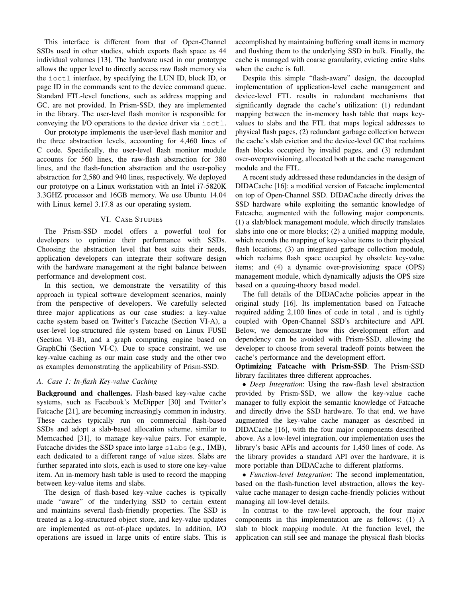This interface is different from that of Open-Channel SSDs used in other studies, which exports flash space as 44 individual volumes [13]. The hardware used in our prototype allows the upper level to directly access raw flash memory via the ioctl interface, by specifying the LUN ID, block ID, or page ID in the commands sent to the device command queue. Standard FTL-level functions, such as address mapping and GC, are not provided. In Prism-SSD, they are implemented in the library. The user-level flash monitor is responsible for conveying the I/O operations to the device driver via ioctl.

Our prototype implements the user-level flash monitor and the three abstraction levels, accounting for 4,460 lines of C code. Specifically, the user-level flash monitor module accounts for 560 lines, the raw-flash abstraction for 380 lines, and the flash-function abstraction and the user-policy abstraction for 2,580 and 940 lines, respectively. We deployed our prototype on a Linux workstation with an Intel i7-5820K 3.3GHZ processor and 16GB memory. We use Ubuntu 14.04 with Linux kernel 3.17.8 as our operating system.

## VI. CASE STUDIES

The Prism-SSD model offers a powerful tool for developers to optimize their performance with SSDs. Choosing the abstraction level that best suits their needs, application developers can integrate their software design with the hardware management at the right balance between performance and development cost.

In this section, we demonstrate the versatility of this approach in typical software development scenarios, mainly from the perspective of developers. We carefully selected three major applications as our case studies: a key-value cache system based on Twitter's Fatcache (Section VI-A), a user-level log-structured file system based on Linux FUSE (Section VI-B), and a graph computing engine based on GraphChi (Section VI-C). Due to space constraint, we use key-value caching as our main case study and the other two as examples demonstrating the applicability of Prism-SSD.

## *A. Case 1: In-flash Key-value Caching*

Background and challenges. Flash-based key-value cache systems, such as Facebook's McDipper [30] and Twitter's Fatcache [21], are becoming increasingly common in industry. These caches typically run on commercial flash-based SSDs and adopt a slab-based allocation scheme, similar to Memcached [31], to manage key-value pairs. For example, Fatcache divides the SSD space into large slabs (e.g., 1MB), each dedicated to a different range of value sizes. Slabs are further separated into slots, each is used to store one key-value item. An in-memory hash table is used to record the mapping between key-value items and slabs.

The design of flash-based key-value caches is typically made "aware" of the underlying SSD to certain extent and maintains several flash-friendly properties. The SSD is treated as a log-structured object store, and key-value updates are implemented as out-of-place updates. In addition, I/O operations are issued in large units of entire slabs. This is accomplished by maintaining buffering small items in memory and flushing them to the underlying SSD in bulk. Finally, the cache is managed with coarse granularity, evicting entire slabs when the cache is full.

Despite this simple "flash-aware" design, the decoupled implementation of application-level cache management and device-level FTL results in redundant mechanisms that significantly degrade the cache's utilization: (1) redundant mapping between the in-memory hash table that maps keyvalues to slabs and the FTL that maps logical addresses to physical flash pages, (2) redundant garbage collection between the cache's slab eviction and the device-level GC that reclaims flash blocks occupied by invalid pages, and (3) redundant over-overprovisioning, allocated both at the cache management module and the FTL.

A recent study addressed these redundancies in the design of DIDACache [16]: a modified version of Fatcache implemented on top of Open-Channel SSD. DIDACache directly drives the SSD hardware while exploiting the semantic knowledge of Fatcache, augmented with the following major components. (1) a slab/block management module, which directly translates slabs into one or more blocks; (2) a unified mapping module, which records the mapping of key-value items to their physical flash locations; (3) an integrated garbage collection module, which reclaims flash space occupied by obsolete key-value items; and (4) a dynamic over-provisioning space (OPS) management module, which dynamically adjusts the OPS size based on a queuing-theory based model.

The full details of the DIDACache policies appear in the original study [16]. Its implementation based on Fatcache required adding 2,100 lines of code in total , and is tightly coupled with Open-Channel SSD's architecture and API. Below, we demonstrate how this development effort and dependency can be avoided with Prism-SSD, allowing the developer to choose from several tradeoff points between the cache's performance and the development effort.

Optimizing Fatcache with Prism-SSD. The Prism-SSD library facilitates three different approaches.

• *Deep Integration*: Using the raw-flash level abstraction provided by Prism-SSD, we allow the key-value cache manager to fully exploit the semantic knowledge of Fatcache and directly drive the SSD hardware. To that end, we have augmented the key-value cache manager as described in DIDACache [16], with the four major components described above. As a low-level integration, our implementation uses the library's basic APIs and accounts for 1,450 lines of code. As the library provides a standard API over the hardware, it is more portable than DIDACache to different platforms.

• *Function-level Integration*: The second implementation, based on the flash-function level abstraction, allows the keyvalue cache manager to design cache-friendly policies without managing all low-level details.

In contrast to the raw-level approach, the four major components in this implementation are as follows: (1) A slab to block mapping module. At the function level, the application can still see and manage the physical flash blocks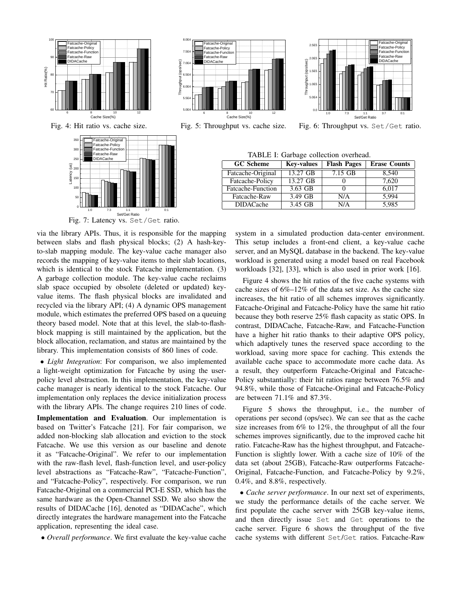



7. 0E 4 DI DACach e 7.5E4 | Fatcache-Function

Fatcach e-Raw

Fatcache-Original<br>Fatcache-Policy

6. 5E 4

o.  $\circ$ / sec)

8.0E



Fig. 6: Throughput vs. Set/Get ratio.

TABLE I: Garbage collection overhead.

| <b>GC</b> Scheme  | <b>Key-values</b> | <b>Flash Pages</b> | <b>Erase Counts</b> |
|-------------------|-------------------|--------------------|---------------------|
| Fatcache-Original | 13.27 GB          | $7.15$ GB          | 8,540               |
| Fatcache-Policy   | 13.27 GB          |                    | 7,620               |
| Fatcache-Function | 3.63 GB           |                    | 6,017               |
| Fatcache-Raw      | 3.49 GB           | N/A                | 5.994               |
| <b>DIDACache</b>  | 3.45 GB           | N/A                | 5,985               |

Fig. 7: Latency vs. Set/Get ratio.

via the library APIs. Thus, it is responsible for the mapping between slabs and flash physical blocks; (2) A hash-keyto-slab mapping module. The key-value cache manager also records the mapping of key-value items to their slab locations, which is identical to the stock Fatcache implementation. (3) A garbage collection module. The key-value cache reclaims slab space occupied by obsolete (deleted or updated) keyvalue items. The flash physical blocks are invalidated and recycled via the library API; (4) A dynamic OPS management module, which estimates the preferred OPS based on a queuing theory based model. Note that at this level, the slab-to-flashblock mapping is still maintained by the application, but the block allocation, reclamation, and status are maintained by the library. This implementation consists of 860 lines of code.

• *Light Integration*: For comparison, we also implemented a light-weight optimization for Fatcache by using the userpolicy level abstraction. In this implementation, the key-value cache manager is nearly identical to the stock Fatcache. Our implementation only replaces the device initialization process with the library APIs. The change requires 210 lines of code.

Implementation and Evaluation. Our implementation is based on Twitter's Fatcache [21]. For fair comparison, we added non-blocking slab allocation and eviction to the stock Fatcache. We use this version as our baseline and denote it as "Fatcache-Original". We refer to our implementation with the raw-flash level, flash-function level, and user-policy level abstractions as "Fatcache-Raw", "Fatcache-Function", and "Fatcache-Policy", respectively. For comparison, we run Fatcache-Original on a commercial PCI-E SSD, which has the same hardware as the Open-Channel SSD. We also show the results of DIDACache [16], denoted as "DIDACache", which directly integrates the hardware management into the Fatcache application, representing the ideal case.

• *Overall performance*. We first evaluate the key-value cache

system in a simulated production data-center environment. This setup includes a front-end client, a key-value cache server, and an MySQL database in the backend. The key-value workload is generated using a model based on real Facebook workloads [32], [33], which is also used in prior work [16].

Figure 4 shows the hit ratios of the five cache systems with cache sizes of 6%–12% of the data set size. As the cache size increases, the hit ratio of all schemes improves significantly. Fatcache-Original and Fatcache-Policy have the same hit ratio because they both reserve 25% flash capacity as static OPS. In contrast, DIDACache, Fatcache-Raw, and Fatcache-Function have a higher hit ratio thanks to their adaptive OPS policy, which adaptively tunes the reserved space according to the workload, saving more space for caching. This extends the available cache space to accommodate more cache data. As a result, they outperform Fatcache-Original and Fatcache-Policy substantially: their hit ratios range between 76.5% and 94.8%, while those of Fatcache-Original and Fatcache-Policy are between 71.1% and 87.3%.

Figure 5 shows the throughput, i.e., the number of operations per second (ops/sec). We can see that as the cache size increases from 6% to 12%, the throughput of all the four schemes improves significantly, due to the improved cache hit ratio. Fatcache-Raw has the highest throughput, and Fatcache-Function is slightly lower. With a cache size of 10% of the data set (about 25GB), Fatcache-Raw outperforms Fatcache-Original, Fatcache-Function, and Fatcache-Policy by 9.2%, 0.4%, and 8.8%, respectively.

• *Cache server performance*. In our next set of experiments, we study the performance details of the cache server. We first populate the cache server with 25GB key-value items, and then directly issue Set and Get operations to the cache server. Figure 6 shows the throughput of the five cache systems with different Set/Get ratios. Fatcache-Raw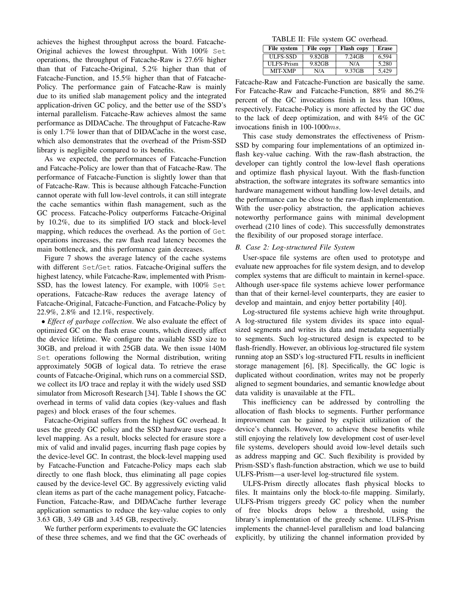achieves the highest throughput across the board. Fatcache-Original achieves the lowest throughput. With 100% Set operations, the throughput of Fatcache-Raw is 27.6% higher than that of Fatcache-Original, 5.2% higher than that of Fatcache-Function, and 15.5% higher than that of Fatcache-Policy. The performance gain of Fatcache-Raw is mainly due to its unified slab management policy and the integrated application-driven GC policy, and the better use of the SSD's internal parallelism. Fatcache-Raw achieves almost the same performance as DIDACache. The throughput of Fatcache-Raw is only 1.7% lower than that of DIDACache in the worst case, which also demonstrates that the overhead of the Prism-SSD library is negligible compared to its benefits.

As we expected, the performances of Fatcache-Function and Fatcache-Policy are lower than that of Fatcache-Raw. The performance of Fatcache-Function is slightly lower than that of Fatcache-Raw. This is because although Fatcache-Function cannot operate with full low-level controls, it can still integrate the cache semantics within flash management, such as the GC process. Fatcache-Policy outperforms Fatcache-Original by 10.2%, due to its simplified I/O stack and block-level mapping, which reduces the overhead. As the portion of Get operations increases, the raw flash read latency becomes the main bottleneck, and this performance gain decreases.

Figure 7 shows the average latency of the cache systems with different Set/Get ratios. Fatcache-Original suffers the highest latency, while Fatcache-Raw, implemented with Prism-SSD, has the lowest latency. For example, with 100% Set operations, Fatcache-Raw reduces the average latency of Fatcache-Original, Fatcache-Function, and Fatcache-Policy by 22.9%, 2.8% and 12.1%, respectively.

• *Effect of garbage collection*. We also evaluate the effect of optimized GC on the flash erase counts, which directly affect the device lifetime. We configure the available SSD size to 30GB, and preload it with 25GB data. We then issue 140M Set operations following the Normal distribution, writing approximately 50GB of logical data. To retrieve the erase counts of Fatcache-Original, which runs on a commercial SSD, we collect its I/O trace and replay it with the widely used SSD simulator from Microsoft Research [34]. Table I shows the GC overhead in terms of valid data copies (key-values and flash pages) and block erases of the four schemes.

Fatcache-Original suffers from the highest GC overhead. It uses the greedy GC policy and the SSD hardware uses pagelevel mapping. As a result, blocks selected for erasure store a mix of valid and invalid pages, incurring flash page copies by the device-level GC. In contrast, the block-level mapping used by Fatcache-Function and Fatcache-Policy maps each slab directly to one flash block, thus eliminating all page copies caused by the device-level GC. By aggressively evicting valid clean items as part of the cache management policy, Fatcache-Function, Fatcache-Raw, and DIDACache further leverage application semantics to reduce the key-value copies to only 3.63 GB, 3.49 GB and 3.45 GB, respectively.

We further perform experiments to evaluate the GC latencies of these three schemes, and we find that the GC overheads of

TABLE II: File system GC overhead.

| File system       | File copy | <b>Flash copy</b> | <b>Erase</b> |
|-------------------|-----------|-------------------|--------------|
| ULFS-SSD          | 9.82GB    | $7.24$ GB         | 6.594        |
| <b>ULFS-Prism</b> | 9.82GB    | N/A               | 5.280        |
| <b>MIT-XMP</b>    | N/A       | 9.37GB            | 5.429        |

Fatcache-Raw and Fatcache-Function are basically the same. For Fatcache-Raw and Fatcache-Function, 88% and 86.2% percent of the GC invocations finish in less than 100ms, respectively. Fatcache-Policy is more affected by the GC due to the lack of deep optimization, and with 84% of the GC invocations finish in 100-1000ms.

This case study demonstrates the effectiveness of Prism-SSD by comparing four implementations of an optimized inflash key-value caching. With the raw-flash abstraction, the developer can tightly control the low-level flash operations and optimize flash physical layout. With the flash-function abstraction, the software integrates its software semantics into hardware management without handling low-level details, and the performance can be close to the raw-flash implementation. With the user-policy abstraction, the application achieves noteworthy performance gains with minimal development overhead (210 lines of code). This successfully demonstrates the flexibility of our proposed storage interface.

#### *B. Case 2: Log-structured File System*

User-space file systems are often used to prototype and evaluate new approaches for file system design, and to develop complex systems that are difficult to maintain in kernel-space. Although user-space file systems achieve lower performance than that of their kernel-level counterparts, they are easier to develop and maintain, and enjoy better portability [40].

Log-structured file systems achieve high write throughput. A log-structured file system divides its space into equalsized segments and writes its data and metadata sequentially to segments. Such log-structured design is expected to be flash-friendly. However, an oblivious log-structured file system running atop an SSD's log-structured FTL results in inefficient storage management [6], [8]. Specifically, the GC logic is duplicated without coordination, writes may not be properly aligned to segment boundaries, and semantic knowledge about data validity is unavailable at the FTL.

This inefficiency can be addressed by controlling the allocation of flash blocks to segments. Further performance improvement can be gained by explicit utilization of the device's channels. However, to achieve these benefits while still enjoying the relatively low development cost of user-level file systems, developers should avoid low-level details such as address mapping and GC. Such flexibility is provided by Prism-SSD's flash-function abstraction, which we use to build ULFS-Prism—a user-level log-structured file system.

ULFS-Prism directly allocates flash physical blocks to files. It maintains only the block-to-file mapping. Similarly, ULFS-Prism triggers greedy GC policy when the number of free blocks drops below a threshold, using the library's implementation of the greedy scheme. ULFS-Prism implements the channel-level parallelism and load balancing explicitly, by utilizing the channel information provided by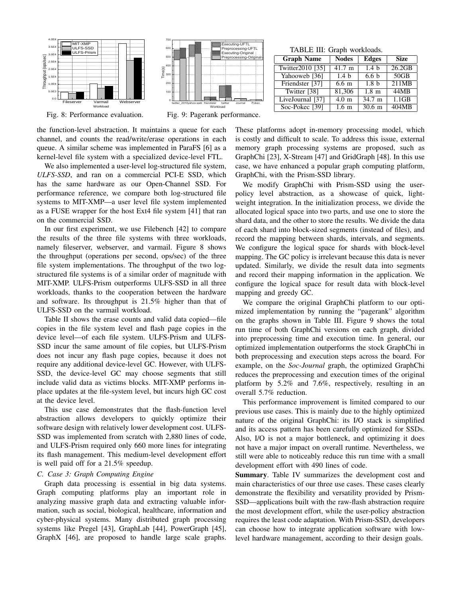

twitter\_2010yahoo-web friendster twitter Journal Pokec 0 100 200 300 400 50 600 700 Time(s) Workload Executing-UFTL<br>Tenrocessing-U Preprocessing-UFTL . .cp.occss...g-or<br>Executing-Original Preprocessing-Original

Fig. 8: Performance evaluation.

the function-level abstraction. It maintains a queue for each channel, and counts the read/write/erase operations in each queue. A similar scheme was implemented in ParaFS [6] as a kernel-level file system with a specialized device-level FTL.

We also implemented a user-level log-structured file system, *ULFS-SSD*, and ran on a commercial PCI-E SSD, which has the same hardware as our Open-Channel SSD. For performance reference, we compare both log-structured file systems to MIT-XMP—a user level file system implemented as a FUSE wrapper for the host Ext4 file system [41] that ran on the commercial SSD.

In our first experiment, we use Filebench [42] to compare the results of the three file systems with three workloads, namely fileserver, webserver, and varmail. Figure 8 shows the throughput (operations per second, ops/sec) of the three file system implementations. The throughput of the two logstructured file systems is of a similar order of magnitude with MIT-XMP. ULFS-Prism outperforms ULFS-SSD in all three workloads, thanks to the cooperation between the hardware and software. Its throughput is 21.5% higher than that of ULFS-SSD on the varmail workload.

Table II shows the erase counts and valid data copied—file copies in the file system level and flash page copies in the device level—of each file system. ULFS-Prism and ULFS-SSD incur the same amount of file copies, but ULFS-Prism does not incur any flash page copies, because it does not require any additional device-level GC. However, with ULFS-SSD, the device-level GC may choose segments that still include valid data as victims blocks. MIT-XMP performs inplace updates at the file-system level, but incurs high GC cost at the device level.

This use case demonstrates that the flash-function level abstraction allows developers to quickly optimize their software design with relatively lower development cost. ULFS-SSD was implemented from scratch with 2,880 lines of code, and ULFS-Prism required only 660 more lines for integrating its flash management. This medium-level development effort is well paid off for a 21.5% speedup.

## *C. Case 3: Graph Computing Engine*

Graph data processing is essential in big data systems. Graph computing platforms play an important role in analyzing massive graph data and extracting valuable information, such as social, biological, healthcare, information and cyber-physical systems. Many distributed graph processing systems like Pregel [43], GraphLab [44], PowerGraph [45], GraphX [46], are proposed to handle large scale graphs.

TABLE III: Graph workloads.

| <b>Graph Name</b> | <b>Nodes</b>     | <b>Edges</b>     | <b>Size</b> |
|-------------------|------------------|------------------|-------------|
| Twitter2010 [35]  | $41.7 \text{ m}$ | 1.4 <sub>b</sub> | 26.2GB      |
| Yahooweb [36]     | 1.4 <sub>b</sub> | 6.6 <sub>b</sub> | 50GB        |
| Friendster [37]   | $6.6 \text{ m}$  | 1.8 <sub>b</sub> | 211MB       |
| Twitter [38]      | 81,306           | $1.8 \text{ m}$  | 44MB        |
| LiveJournal [37]  | $4.0 \text{ m}$  | 34.7 m           | 1.1GB       |
| Soc-Pokec [39]    | 1.6 <sub>m</sub> | $30.6$ m         | 404MB       |

Fig. 9: Pagerank performance.

These platforms adopt in-memory processing model, which is costly and difficult to scale. To address this issue, external memory graph processing systems are proposed, such as GraphChi [23], X-Stream [47] and GridGraph [48]. In this use case, we have enhanced a popular graph computing platform, GraphChi, with the Prism-SSD library.

We modify GraphChi with Prism-SSD using the userpolicy level abstraction, as a showcase of quick, lightweight integration. In the initialization process, we divide the allocated logical space into two parts, and use one to store the shard data, and the other to store the results. We divide the data of each shard into block-sized segments (instead of files), and record the mapping between shards, intervals, and segments. We configure the logical space for shards with block-level mapping. The GC policy is irrelevant because this data is never updated. Similarly, we divide the result data into segments and record their mapping information in the application. We configure the logical space for result data with block-level mapping and greedy GC.

We compare the original GraphChi platform to our optimized implementation by running the "pagerank" algorithm on the graphs shown in Table III. Figure 9 shows the total run time of both GraphChi versions on each graph, divided into preprocessing time and execution time. In general, our optimized implementation outperforms the stock GraphChi in both preprocessing and execution steps across the board. For example, on the *Soc-Journal* graph, the optimized GraphChi reduces the preprocessing and execution times of the original platform by 5.2% and 7.6%, respectively, resulting in an overall 5.7% reduction.

This performance improvement is limited compared to our previous use cases. This is mainly due to the highly optimized nature of the original GraphChi: its I/O stack is simplified and its access pattern has been carefully optimized for SSDs. Also, I/O is not a major bottleneck, and optimizing it does not have a major impact on overall runtime. Nevertheless, we still were able to noticeably reduce this run time with a small development effort with 490 lines of code.

Summary. Table IV summarizes the development cost and main characteristics of our three use cases. These cases clearly demonstrate the flexibility and versatility provided by Prism-SSD—applications built with the raw-flash abstraction require the most development effort, while the user-policy abstraction requires the least code adaptation. With Prism-SSD, developers can choose how to integrate application software with lowlevel hardware management, according to their design goals.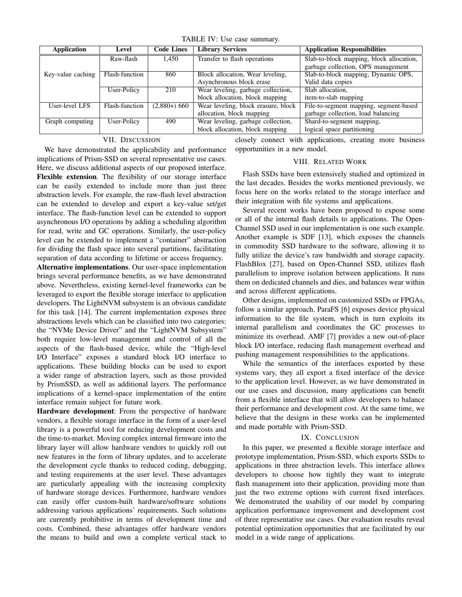TABLE IV: Use case summary.

| <b>Application</b> | Level          | <b>Code Lines</b> | <b>Library Services</b>             | <b>Application Responsibilities</b>      |
|--------------------|----------------|-------------------|-------------------------------------|------------------------------------------|
|                    | Raw-flash      | 1,450             | Transfer to flash operations        | Slab-to-block mapping, block allocation, |
|                    |                |                   |                                     | garbage collection, OPS management       |
| Key-value caching  | Flash-function | 860               | Block allocation, Wear leveling,    | Slab-to-block mapping, Dynamic OPS,      |
|                    |                |                   | Asynchronous block erase            | Valid data copies                        |
|                    | User-Policy    | 210               | Wear leveling, garbage collection,  | Slab allocation.                         |
|                    |                |                   | block allocation, block mapping     | item-to-slab mapping                     |
| User-level LFS     | Flash-function | $(2,880+) 660$    | Wear leveling, block erasure, block | File-to-segment mapping, segment-based   |
|                    |                |                   | allocation, block mapping           | garbage collection, load balancing       |
| Graph computing    | User-Policy    | 490               | Wear leveling, garbage collection,  | Shard-to-segment mapping,                |
|                    |                |                   | block allocation, block mapping     | logical space partitioning               |

## VII. DISCUSSION

We have demonstrated the applicability and performance implications of Prism-SSD on several representative use cases. Here, we discuss additional aspects of our proposed interface. Flexible extension. The flexibility of our storage interface can be easily extended to include more than just three abstraction levels. For example, the raw-flash level abstraction can be extended to develop and export a key-value set/get interface. The flash-function level can be extended to support asynchronous I/O operations by adding a scheduling algorithm for read, write and GC operations. Similarly, the user-policy level can be extended to implement a "container" abstraction for dividing the flash space into several partitions, facilitating separation of data according to lifetime or access frequency.

Alternative implementations. Our user-space implementation brings several performance benefits, as we have demonstrated above. Nevertheless, existing kernel-level frameworks can be leveraged to export the flexible storage interface to application developers. The LightNVM subsystem is an obvious candidate for this task [14]. The current implementation exposes three abstractions levels which can be classified into two categories: the "NVMe Device Driver" and the "LightNVM Subsystem" both require low-level management and control of all the aspects of the flash-based device, while the "High-level I/O Interface" exposes a standard block I/O interface to applications. These building blocks can be used to export a wider range of abstraction layers, such as those provided by PrismSSD, as well as additional layers. The performance implications of a kernel-space implementation of the entire interface remain subject for future work.

Hardware development: From the perspective of hardware vendors, a flexible storage interface in the form of a user-level library is a powerful tool for reducing development costs and the time-to-market. Moving complex internal firmware into the library layer will allow hardware vendors to quickly roll out new features in the form of library updates, and to accelerate the development cycle thanks to reduced coding, debugging, and testing requirements at the user level. These advantages are particularly appealing with the increasing complexity of hardware storage devices. Furthermore, hardware vendors can easily offer custom-built hardware/software solutions addressing various applications' requirements. Such solutions are currently prohibitive in terms of development time and costs. Combined, these advantages offer hardware vendors the means to build and own a complete vertical stack to

closely connect with applications, creating more business opportunities in a new model.

## VIII. RELATED WORK

Flash SSDs have been extensively studied and optimized in the last decades. Besides the works mentioned previously, we focus here on the works related to the storage interface and their integration with file systems and applications.

Several recent works have been proposed to expose some or all of the internal flash details to applications. The Open-Channel SSD used in our implementation is one such example. Another example is SDF [13], which exposes the channels in commodity SSD hardware to the software, allowing it to fully utilize the device's raw bandwidth and storage capacity. FlashBlox [27], based on Open-Channel SSD, utilizes flash parallelism to improve isolation between applications. It runs them on dedicated channels and dies, and balances wear within and across different applications.

Other designs, implemented on customized SSDs or FPGAs, follow a similar approach. ParaFS [6] exposes device physical information to the file system, which in turn exploits its internal parallelism and coordinates the GC processes to minimize its overhead. AMF [7] provides a new out-of-place block I/O interface, reducing flash management overhead and pushing management responsibilities to the applications.

While the semantics of the interfaces exported by these systems vary, they all export a fixed interface of the device to the application level. However, as we have demonstrated in our use cases and discussion, many applications can benefit from a flexible interface that will allow developers to balance their performance and development cost. At the same time, we believe that the designs in these works can be implemented and made portable with Prism-SSD.

#### IX. CONCLUSION

In this paper, we presented a flexible storage interface and prototype implementation, Prism-SSD, which exports SSDs to applications in three abstraction levels. This interface allows developers to choose how tightly they want to integrate flash management into their application, providing more than just the two extreme options with current fixed interfaces. We demonstrated the usability of our model by comparing application performance improvement and development cost of three representative use cases. Our evaluation results reveal potential optimization opportunities that are facilitated by our model in a wide range of applications.